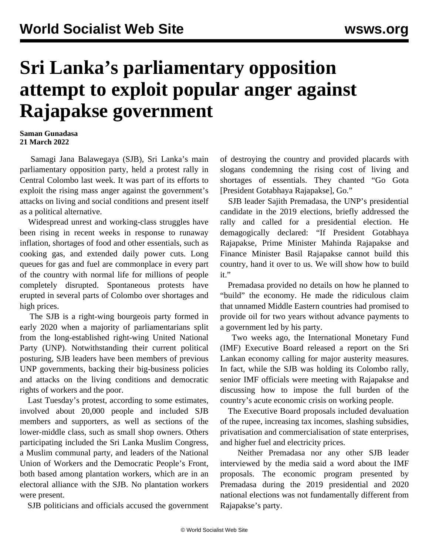## **Sri Lanka's parliamentary opposition attempt to exploit popular anger against Rajapakse government**

## **Saman Gunadasa 21 March 2022**

 Samagi Jana Balawegaya (SJB), Sri Lanka's main parliamentary opposition party, held a protest rally in Central Colombo last week. It was part of its efforts to exploit the rising mass anger against the government's attacks on living and social conditions and present itself as a political alternative.

 Widespread unrest and working-class struggles have been rising in recent weeks in response to runaway inflation, shortages of food and other essentials, such as cooking gas, and extended daily power cuts. Long queues for gas and fuel are commonplace in every part of the country with normal life for millions of people completely disrupted. Spontaneous protests have erupted in several parts of Colombo over shortages and high prices.

 The SJB is a right-wing bourgeois party formed in early 2020 when a majority of parliamentarians split from the long-established right-wing United National Party (UNP). Notwithstanding their current political posturing, SJB leaders have been members of previous UNP governments, backing their big-business policies and attacks on the living conditions and democratic rights of workers and the poor.

 Last Tuesday's protest, according to some estimates, involved about 20,000 people and included SJB members and supporters, as well as sections of the lower-middle class, such as small shop owners. Others participating included the Sri Lanka Muslim Congress, a Muslim communal party, and leaders of the National Union of Workers and the Democratic People's Front, both based among plantation workers, which are in an electoral alliance with the SJB. No plantation workers were present.

SJB politicians and officials accused the government

of destroying the country and provided placards with slogans condemning the rising cost of living and shortages of essentials. They chanted "Go Gota [President Gotabhaya Rajapakse], Go."

 SJB leader Sajith Premadasa, the UNP's presidential candidate in the 2019 elections, briefly addressed the rally and called for a presidential election. He demagogically declared: "If President Gotabhaya Rajapakse, Prime Minister Mahinda Rajapakse and Finance Minister Basil Rajapakse cannot build this country, hand it over to us. We will show how to build it."

 Premadasa provided no details on how he planned to "build" the economy. He made the ridiculous claim that unnamed Middle Eastern countries had promised to provide oil for two years without advance payments to a government led by his party.

 Two weeks ago, the International Monetary Fund (IMF) Executive Board released a [report](/en/articles/2022/03/14/slec-m14.html) on the Sri Lankan economy calling for major austerity measures. In fact, while the SJB was holding its Colombo rally, senior IMF officials were meeting with Rajapakse and discussing how to impose the full burden of the country's acute economic crisis on working people.

 The Executive Board proposals included devaluation of the rupee, increasing tax incomes, slashing subsidies, privatisation and commercialisation of state enterprises, and higher fuel and electricity prices.

 Neither Premadasa nor any other SJB leader interviewed by the media said a word about the IMF proposals. The economic program presented by Premadasa during the 2019 presidential and 2020 national elections was not fundamentally different from Rajapakse's party.